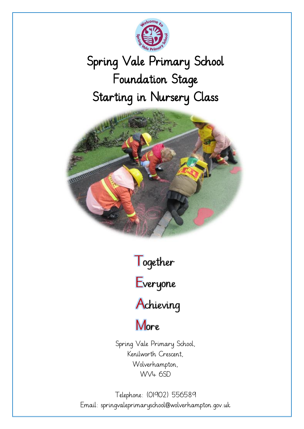

# Spring Vale Primary School Foundation Stage Starting in Nursery Class



Together



Achieving

More

Spring Vale Primary School, Kenilworth Crescent, Wolverhampton, WV4 6SD

Telephone: (01902) 556589 Email: springvaleprimaryschool@wolverhampton.gov.uk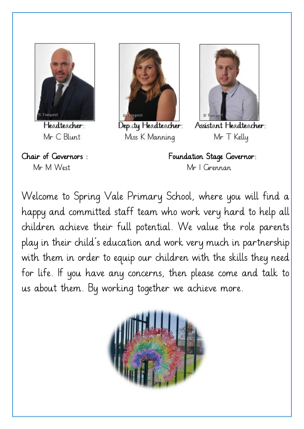

Headteacher: Mr C Blunt





Deputy Headteacher: Miss K Manning



Assistant Headteacher: Mr T Kelly

Chair of Governors : Foundation Stage Governor: Mr M West Mr I Grennan

Welcome to Spring Vale Primary School, where you will find a happy and committed staff team who work very hard to help all children achieve their full potential. We value the role parents play in their child's education and work very much in partnership with them in order to equip our children with the skills they need for life. If you have any concerns, then please come and talk to us about them. By working together we achieve more.

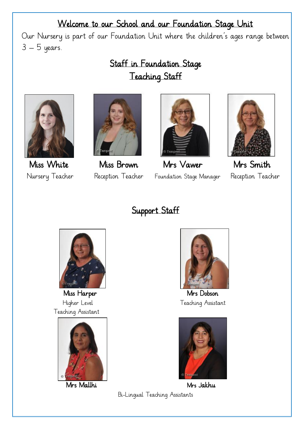### Welcome to our School and our Foundation Stage Unit

Our Nursery is part of our Foundation Unit where the children's ages range between 3 – 5 years.

# Staff in Foundation Stage Teaching Staff







 Miss White Miss Brown Mrs Vawer Mrs Smith Nursery Teacher Reception Teacher Foundation Stage Manager Reception Teacher



## Support Staff



Teaching Assistant





Miss Harper Mrs Dobson Higher Level Teaching Assistant



Mrs Mallhi Mrs Jakhu Bi-Lingual Teaching Assistants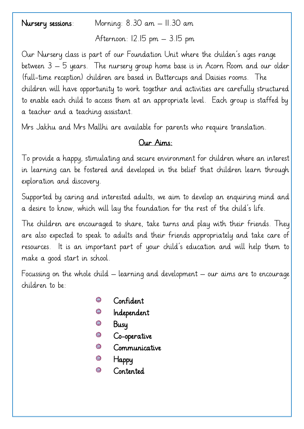Nursery sessions: Morning: 8.30 am – 11.30 am

Afternoon: 12.15 pm – 3.15 pm

Our Nursery class is part of our Foundation Unit where the childen's ages range between 3 – 5 years. The nursery group home base is in Acorn Room and our older (full-time reception) children are based in Buttercups and Daisies rooms. The children will have opportunity to work together and activities are carefully structured to enable each child to access them at an appropriate level. Each group is staffed by a teacher and a teaching assistant.

Mrs Jakhu and Mrs Mallhi are available for parents who require translation.

#### Our Aims:

To provide a happy, stimulating and secure environment for children where an interest in learning can be fostered and developed in the belief that children learn through exploration and discovery.

Supported by caring and interested adults, we aim to develop an enquiring mind and a desire to know, which will lay the foundation for the rest of the child's life.

The children are encouraged to share, take turns and play with their friends. They are also expected to speak to adults and their friends appropriately and take care of resources. It is an important part of your child's education and will help them to make a good start in school.

Focussing on the whole child – learning and development – our aims are to encourage children to be:

- 63 Confident
- Independent
- Busy
- 63 Co-operative
- 63 Communicative
- 6 Happy
- SS Contented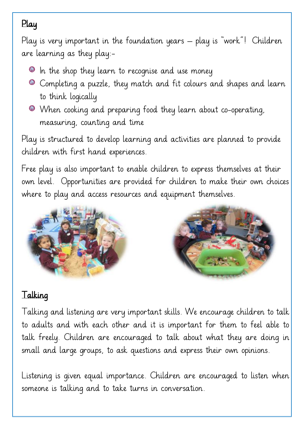# Play

Play is very important in the foundation years – play is "work"! Children are learning as they play:-

- $\bullet$  In the shop they learn to recognise and use money
- Completing a puzzle, they match and fit colours and shapes and learn to think logically
- When cooking and preparing food they learn about co-operating, measuring, counting and time

Play is structured to develop learning and activities are planned to provide children with first hand experiences.

Free play is also important to enable children to express themselves at their own level. Opportunities are provided for children to make their own choices where to play and access resources and equipment themselves.





# Talking

Talking and listening are very important skills. We encourage children to talk to adults and with each other and it is important for them to feel able to talk freely. Children are encouraged to talk about what they are doing in small and large groups, to ask questions and express their own opinions.

Listening is given equal importance. Children are encouraged to listen when someone is talking and to take turns in conversation.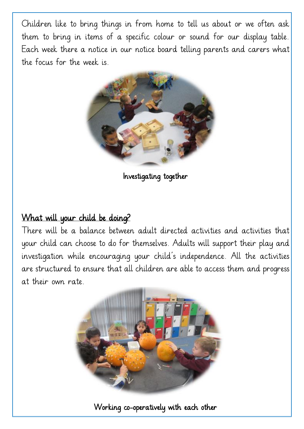Children like to bring things in from home to tell us about or we often ask them to bring in items of a specific colour or sound for our display table. Each week there a notice in our notice board telling parents and carers what the focus for the week is.



Investigating together

#### What will your child be doing?

There will be a balance between adult directed activities and activities that your child can choose to do for themselves. Adults will support their play and investigation while encouraging your child's independence. All the activities are structured to ensure that all children are able to access them and progress at their own rate.



Working co-operatively with each other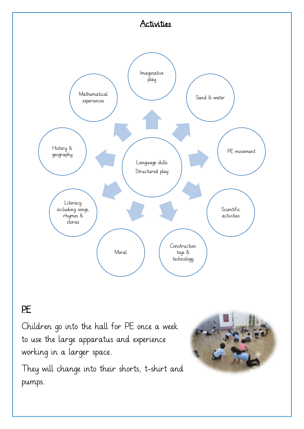

#### PE

 $\overline{a}$ 

Children go into the hall for PE once a week to use the large apparatus and experience working in a larger space.

They will change into their shorts, t-shirt and pumps.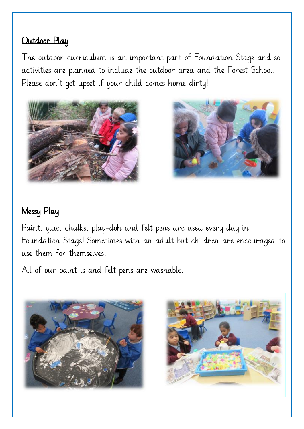#### Outdoor Play

The outdoor curriculum is an important part of Foundation Stage and so activities are planned to include the outdoor area and the Forest School. Please don't get upset if your child comes home dirty!





## Messy Play

Paint, glue, chalks, play-doh and felt pens are used every day in Foundation Stage! Sometimes with an adult but children are encouraged to use them for themselves.

All of our paint is and felt pens are washable.



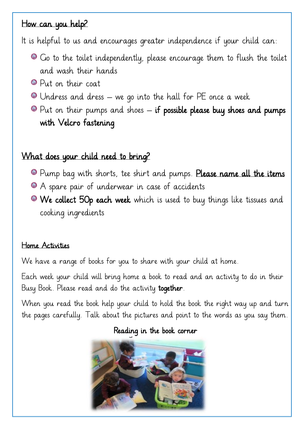#### How can you help?

It is helpful to us and encourages greater independence if your child can:

- Go to the toilet independently, please encourage them to flush the toilet and wash their hands
- Put on their coat
- Undress and dress we go into the hall for PE once a week
- $\bullet$  Put on their pumps and shoes if possible please buy shoes and pumps with Velcro fastening

#### What does your child need to bring?

- **Pump bag with shorts, tee shirt and pumps. Please name all the items**
- A spare pair of underwear in case of accidents
- We collect 50p each week which is used to buy things like tissues and cooking ingredients

#### Home Activities

We have a range of books for you to share with your child at home.

Each week your child will bring home a book to read and an activity to do in their Busy Book. Please read and do the activity together.

When you read the book help your child to hold the book the right way up and turn the pages carefully. Talk about the pictures and point to the words as you say them.

Reading in the book corner

![](_page_8_Picture_15.jpeg)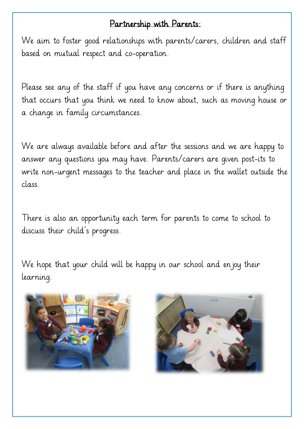#### Partnership with Parents:

We aim to foster good relationships with parents/carers, children and staff based on mutual respect and co-operation.

Please see any of the staff if you have any concerns or if there is anything that occurs that you think we need to know about, such as moving house or a change in family circumstances.

We are always available before and after the sessions and we are happy to answer any questions you may have. Parents/carers are given post-its to write non-urgent messages to the teacher and place in the wallet outside the class.

There is also an opportunity each term for parents to come to school to discuss their child's progress.

We hope that your child will be happy in our school and enjoy their learning.

![](_page_9_Picture_6.jpeg)

![](_page_9_Picture_7.jpeg)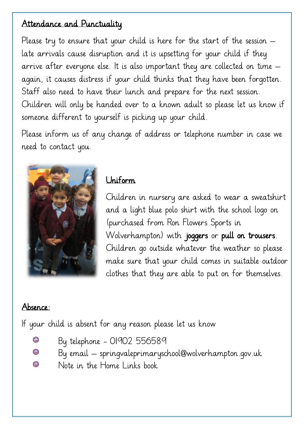#### Attendance and Punctuality

Please try to ensure that your child is here for the start of the session  $$ late arrivals cause disruption and it is upsetting for your child if they arrive after everyone else. It is also important they are collected on time – again, it causes distress if your child thinks that they have been forgotten. Staff also need to have their lunch and prepare for the next session. Children will only be handed over to a known adult so please let us know if someone different to yourself is picking up your child.

Please inform us of any change of address or telephone number in case we need to contact you.

![](_page_10_Picture_3.jpeg)

#### Uniform

Children in nursery are asked to wear a sweatshirt and a light blue polo shirt with the school logo on (purchased from Ron Flowers Sports in Wolverhampton) with joggers or pull on trousers. Children go outside whatever the weather so please make sure that your child comes in suitable outdoor clothes that they are able to put on for themselves.

#### Absence:

 $\overline{a}$ 

If your child is absent for any reason please let us know

- **SIA** By telephone - 01902 556589
- S By email – springvaleprimaryschool@wolverhampton.gov.uk
- 等 Note in the Home Links book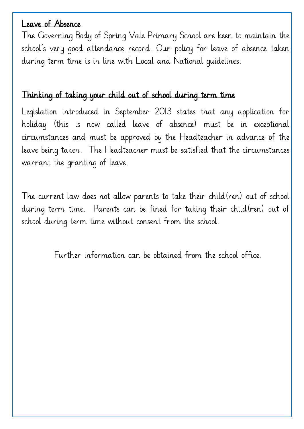#### Leave of Absence

The Governing Body of Spring Vale Primary School are keen to maintain the school's very good attendance record. Our policy for leave of absence taken during term time is in line with Local and National guidelines.

#### Thinking of taking your child out of school during term time

Legislation introduced in September 2013 states that any application for holiday (this is now called leave of absence) must be in exceptional circumstances and must be approved by the Headteacher in advance of the leave being taken. The Headteacher must be satisfied that the circumstances warrant the granting of leave.

The current law does not allow parents to take their child(ren) out of school during term time. Parents can be fined for taking their child(ren) out of school during term time without consent from the school.

Further information can be obtained from the school office.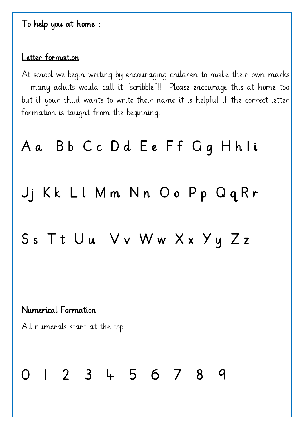#### To help you at home :

#### Letter formation

At school we begin writing by encouraging children to make their own marks – many adults would call it "scribble"!! Please encourage this at home too but if your child wants to write their name it is helpful if the correct letter formation is taught from the beginning.

# A a B b C c D d E e F f G g H h l i

Jj Kk Ll Mm Nn Oo Pp QqRr

# Ss Tt Uu Vv Ww Xx Yy Zz

#### Numerical Formation

All numerals start at the top.

# 0 1 2 3 4 5 6 7 8 9